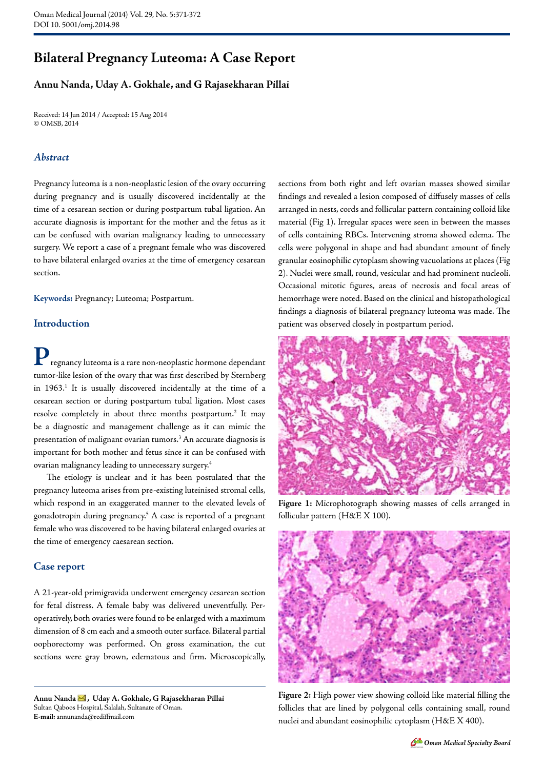# **Bilateral Pregnancy Luteoma: A Case Report**

## **Annu Nanda, Uday A. Gokhale, and G Rajasekharan Pillai**

Received: 14 Jun 2014 / Accepted: 15 Aug 2014 © OMSB, 2014

## *Abstract*

Pregnancy luteoma is a non-neoplastic lesion of the ovary occurring during pregnancy and is usually discovered incidentally at the time of a cesarean section or during postpartum tubal ligation. An accurate diagnosis is important for the mother and the fetus as it can be confused with ovarian malignancy leading to unnecessary surgery. We report a case of a pregnant female who was discovered to have bilateral enlarged ovaries at the time of emergency cesarean section.

**Keywords:** Pregnancy; Luteoma; Postpartum.

## **Introduction**

**P**regnancy luteoma is a rare non-neoplastic hormone dependant tumor-like lesion of the ovary that was first described by Sternberg in 1963.<sup>1</sup> It is usually discovered incidentally at the time of a cesarean section or during postpartum tubal ligation. Most cases resolve completely in about three months postpartum.<sup>2</sup> It may be a diagnostic and management challenge as it can mimic the presentation of malignant ovarian tumors.<sup>3</sup> An accurate diagnosis is important for both mother and fetus since it can be confused with ovarian malignancy leading to unnecessary surgery.4

The etiology is unclear and it has been postulated that the pregnancy luteoma arises from pre-existing luteinised stromal cells, which respond in an exaggerated manner to the elevated levels of gonadotropin during pregnancy.5 A case is reported of a pregnant female who was discovered to be having bilateral enlarged ovaries at the time of emergency caesarean section.

## **Case report**

A 21-year-old primigravida underwent emergency cesarean section for fetal distress. A female baby was delivered uneventfully. Peroperatively, both ovaries were found to be enlarged with a maximum dimension of 8 cm each and a smooth outer surface. Bilateral partial oophorectomy was performed. On gross examination, the cut sections were gray brown, edematous and firm. Microscopically,

**Annu Nanda , Uday A. Gokhale, G Rajasekharan Pillai**  Sultan Qaboos Hospital, Salalah, Sultanate of Oman. **E-mail:** annunanda@rediffmail.com

sections from both right and left ovarian masses showed similar findings and revealed a lesion composed of diffusely masses of cells arranged in nests, cords and follicular pattern containing colloid like material (Fig 1). Irregular spaces were seen in between the masses of cells containing RBCs. Intervening stroma showed edema. The cells were polygonal in shape and had abundant amount of finely granular eosinophilic cytoplasm showing vacuolations at places (Fig 2). Nuclei were small, round, vesicular and had prominent nucleoli. Occasional mitotic figures, areas of necrosis and focal areas of hemorrhage were noted. Based on the clinical and histopathological findings a diagnosis of bilateral pregnancy luteoma was made. The patient was observed closely in postpartum period.



**Figure 1:** Microphotograph showing masses of cells arranged in follicular pattern (H&E X 100).



**Figure 2:** High power view showing colloid like material filling the follicles that are lined by polygonal cells containing small, round nuclei and abundant eosinophilic cytoplasm (H&E X 400).